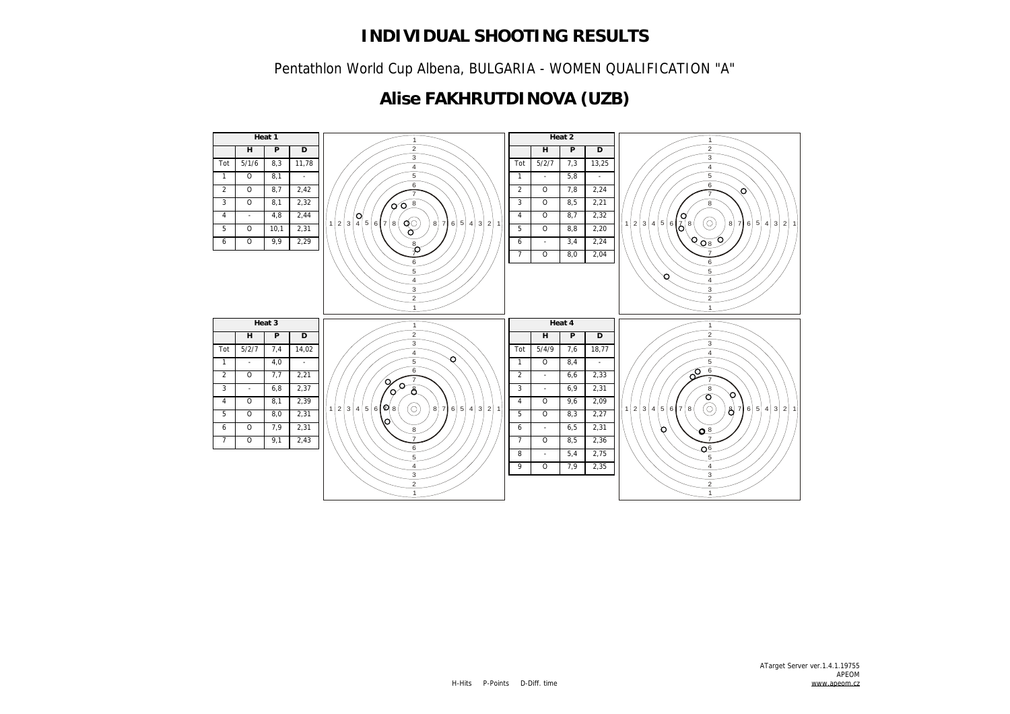Pentathlon World Cup Albena, BULGARIA - WOMEN QUALIFICATION "A"

## **Alise FAKHRUTDINOVA (UZB)**

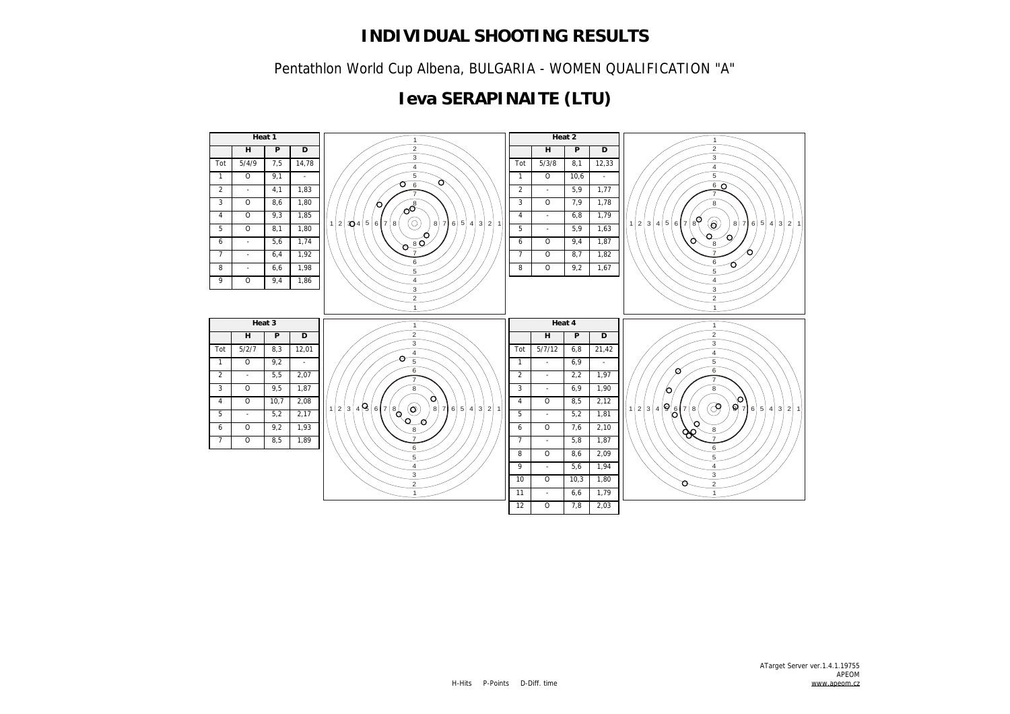Pentathlon World Cup Albena, BULGARIA - WOMEN QUALIFICATION "A"

## **Ieva SERAPINAITE (LTU)**

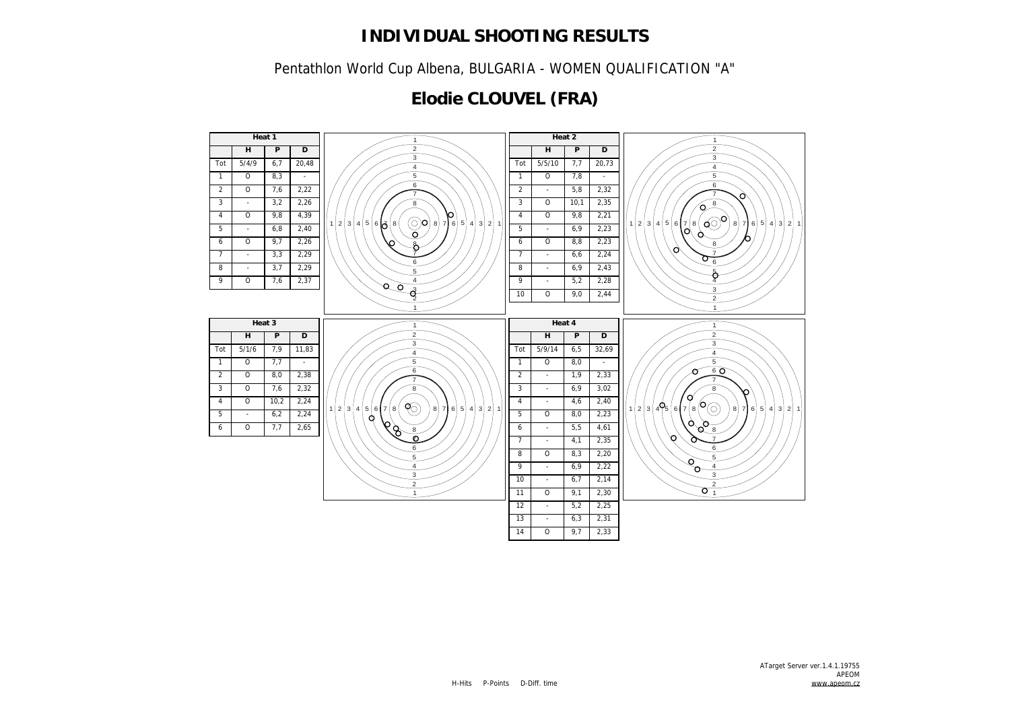Pentathlon World Cup Albena, BULGARIA - WOMEN QUALIFICATION "A"

## **Elodie CLOUVEL (FRA)**

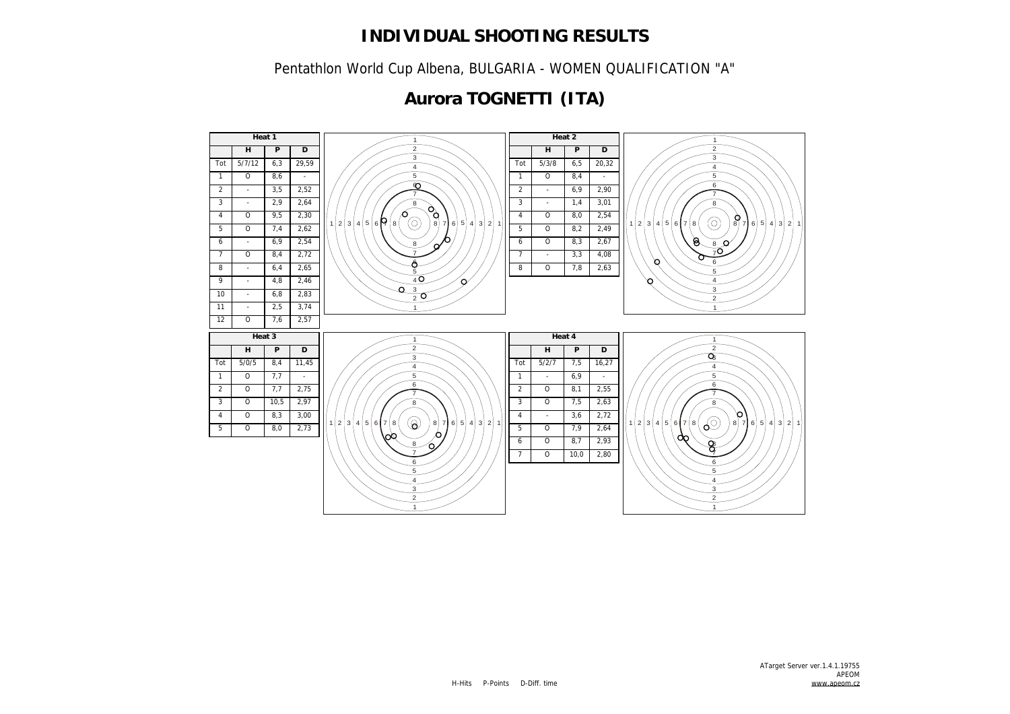Pentathlon World Cup Albena, BULGARIA - WOMEN QUALIFICATION "A"

## **Aurora TOGNETTI (ITA)**

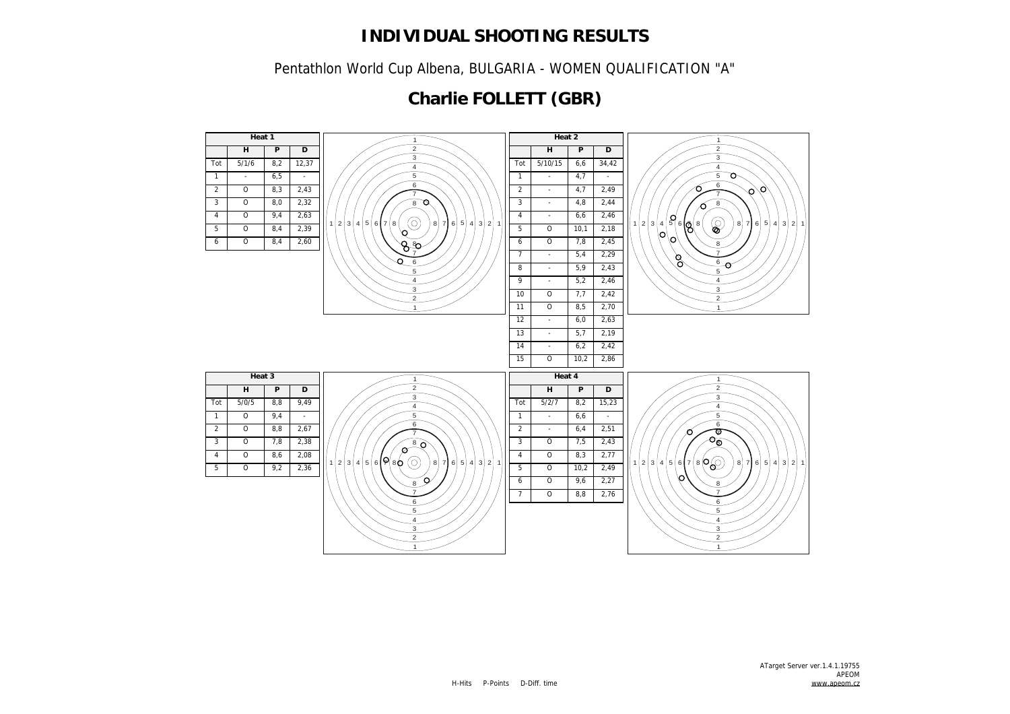Pentathlon World Cup Albena, BULGARIA - WOMEN QUALIFICATION "A"

## **Charlie FOLLETT (GBR)**

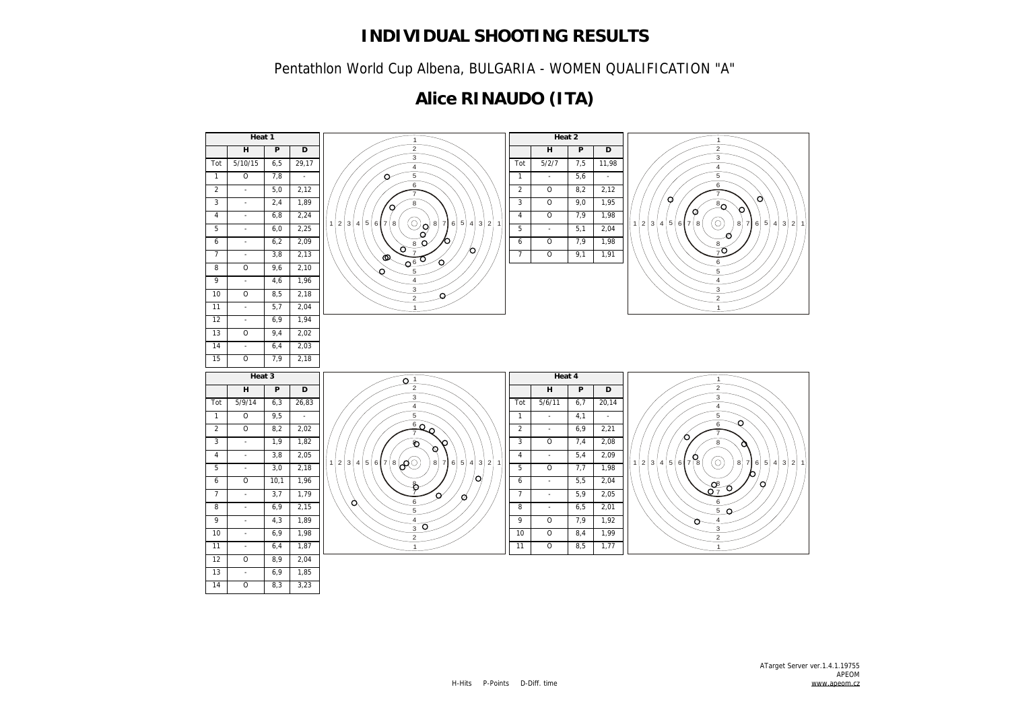Pentathlon World Cup Albena, BULGARIA - WOMEN QUALIFICATION "A"

## **Alice RINAUDO (ITA)**

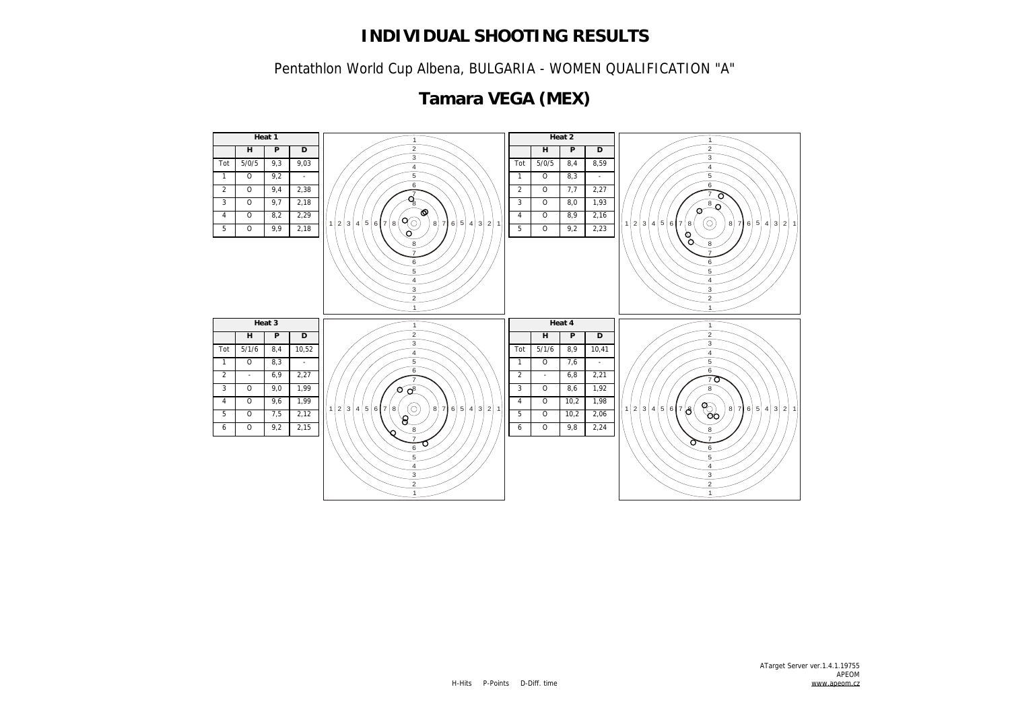Pentathlon World Cup Albena, BULGARIA - WOMEN QUALIFICATION "A"



## **Tamara VEGA (MEX)**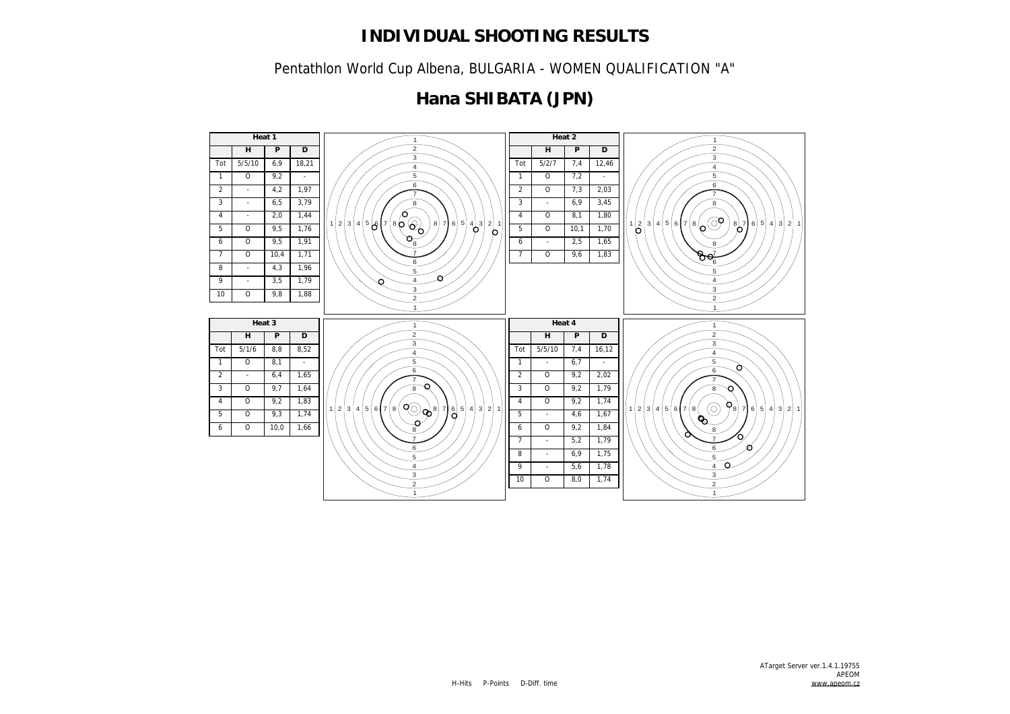Pentathlon World Cup Albena, BULGARIA - WOMEN QUALIFICATION "A"

## **Hana SHIBATA (JPN)**

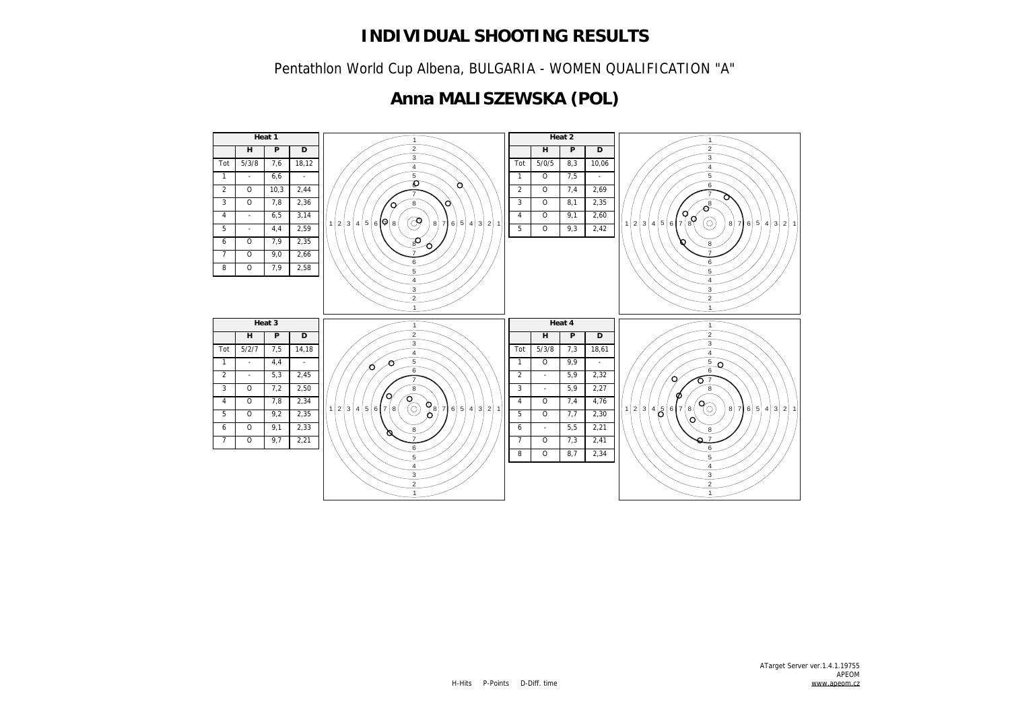Pentathlon World Cup Albena, BULGARIA - WOMEN QUALIFICATION "A"

## **Anna MALISZEWSKA (POL)**

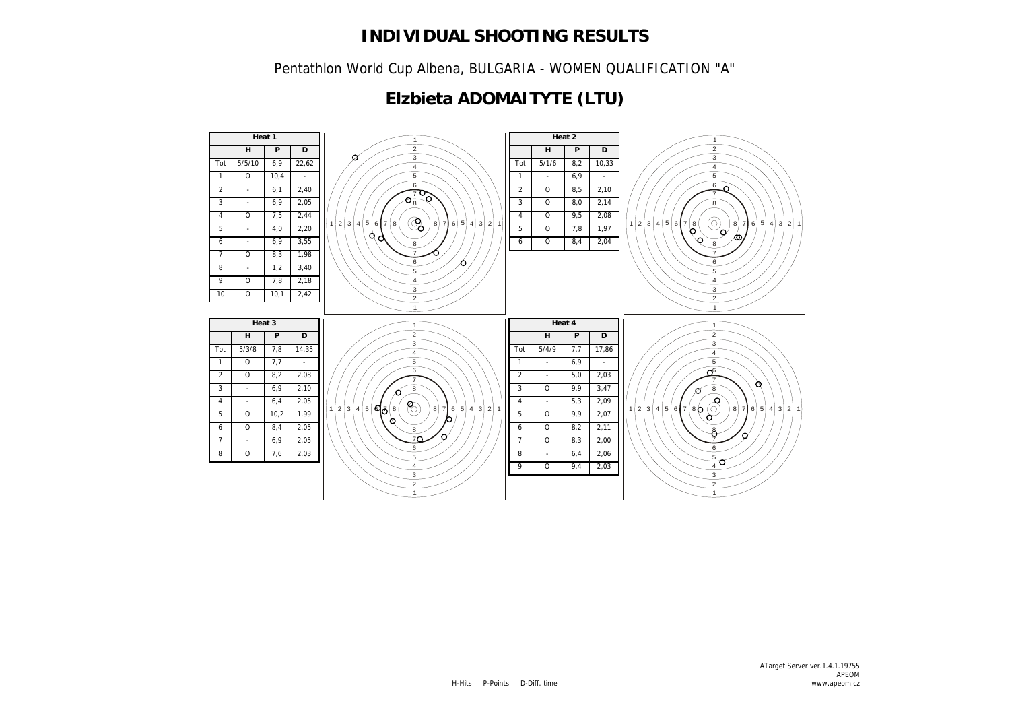Pentathlon World Cup Albena, BULGARIA - WOMEN QUALIFICATION "A"

## **Elzbieta ADOMAITYTE (LTU)**

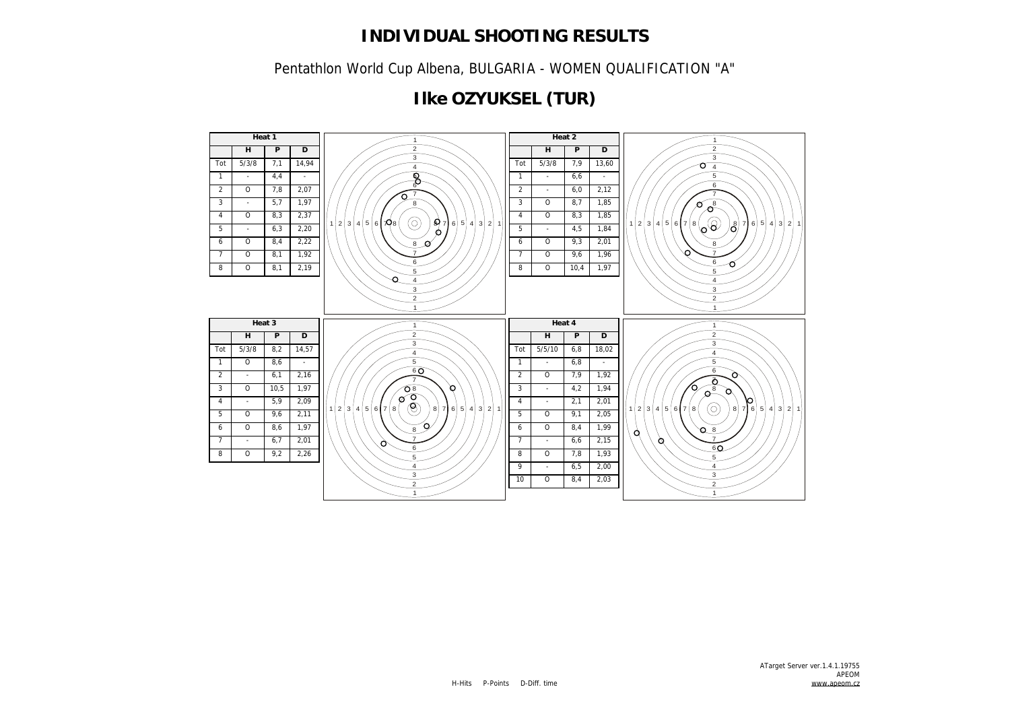Pentathlon World Cup Albena, BULGARIA - WOMEN QUALIFICATION "A"

## **Ilke OZYUKSEL (TUR)**

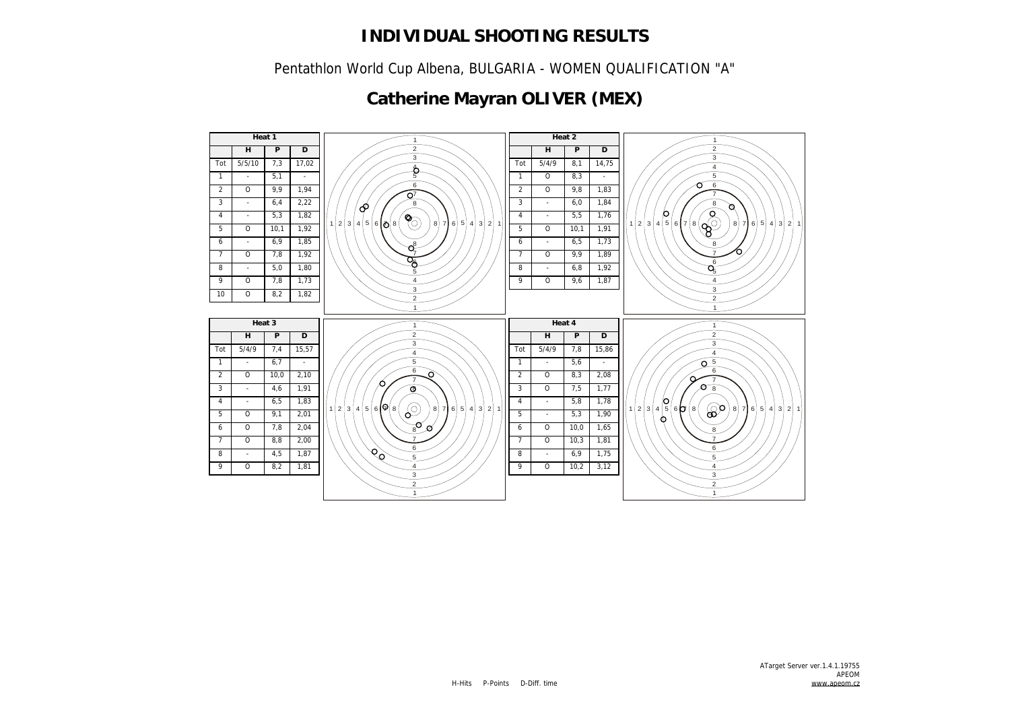Pentathlon World Cup Albena, BULGARIA - WOMEN QUALIFICATION "A"

## **Catherine Mayran OLIVER (MEX)**

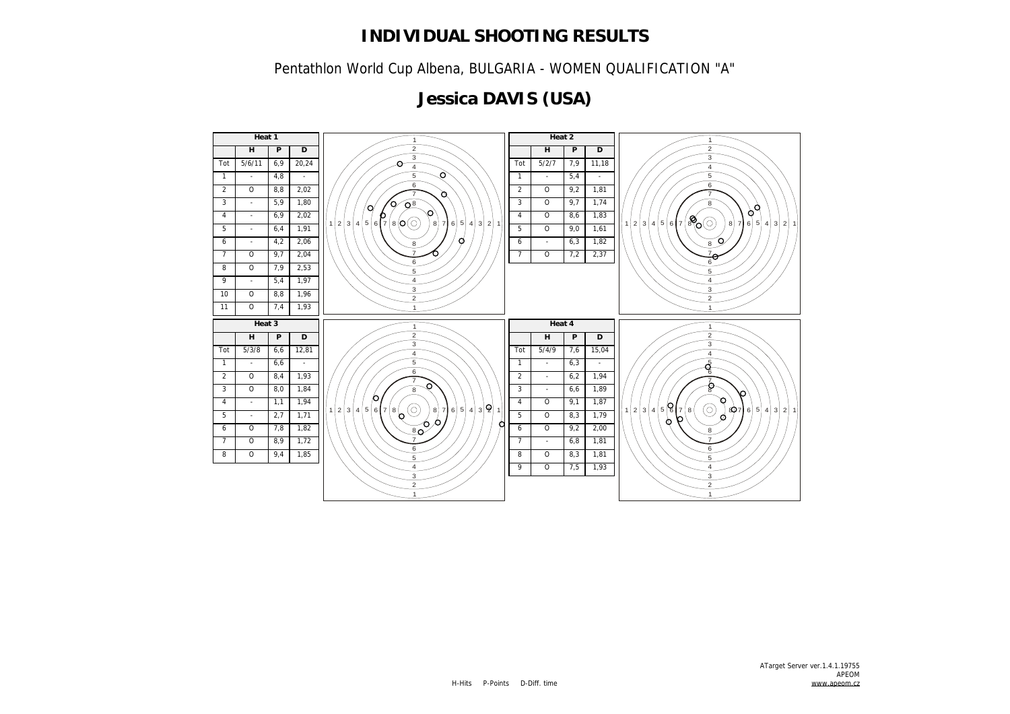Pentathlon World Cup Albena, BULGARIA - WOMEN QUALIFICATION "A"

## **Jessica DAVIS (USA)**

![](_page_12_Figure_3.jpeg)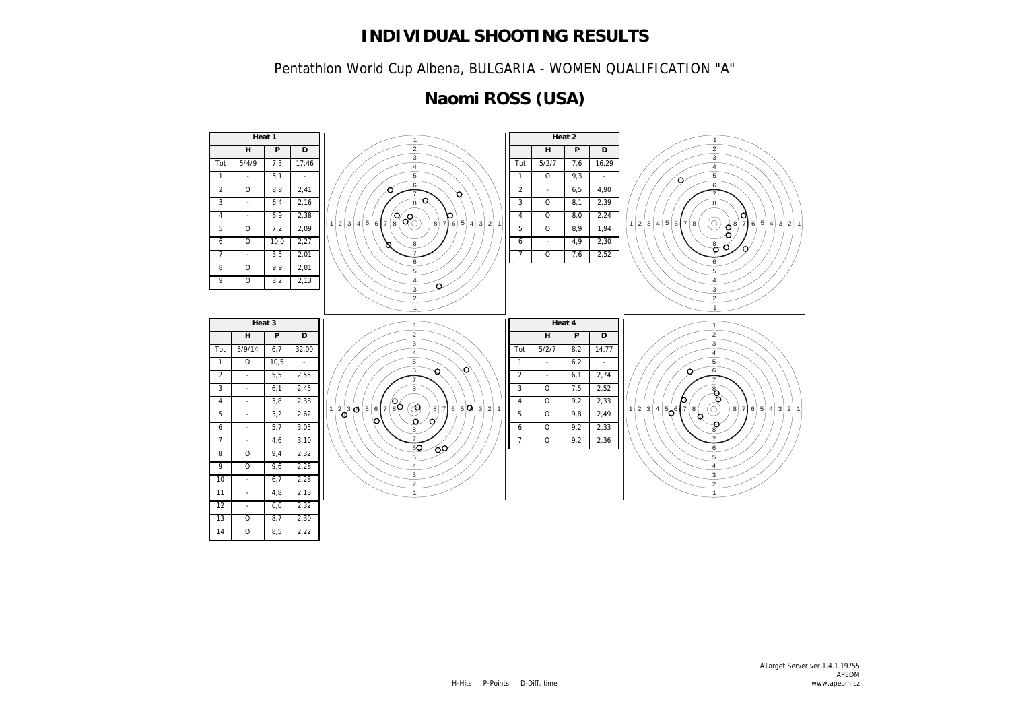Pentathlon World Cup Albena, BULGARIA - WOMEN QUALIFICATION "A"

# **Naomi ROSS (USA)**

![](_page_13_Figure_3.jpeg)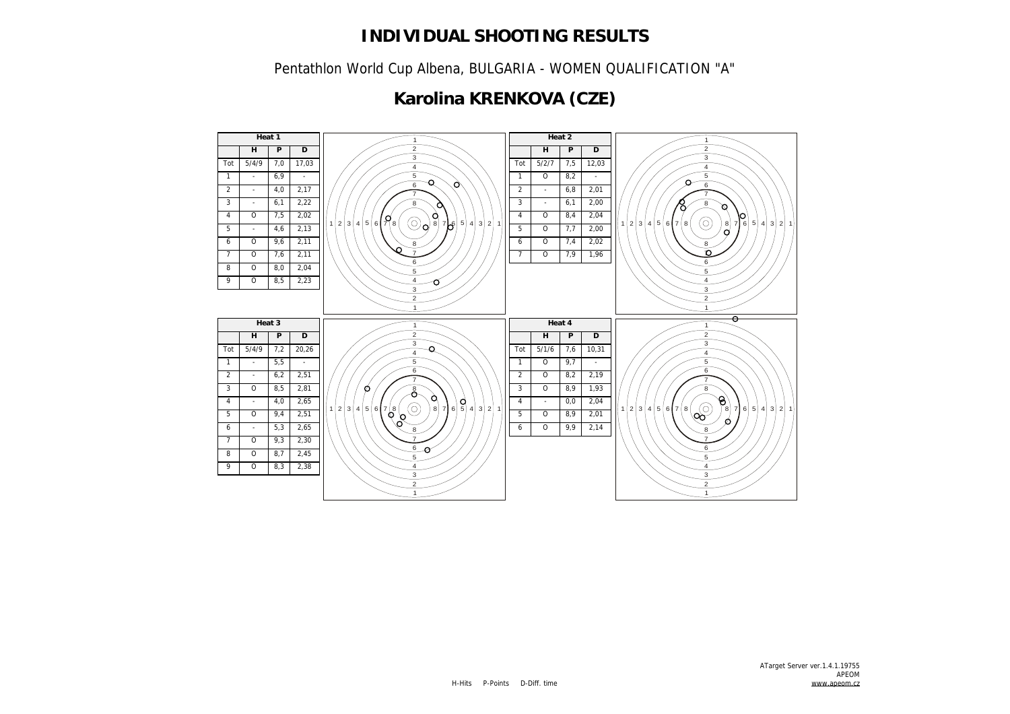Pentathlon World Cup Albena, BULGARIA - WOMEN QUALIFICATION "A"

## **Karolina KRENKOVA (CZE)**

![](_page_14_Figure_3.jpeg)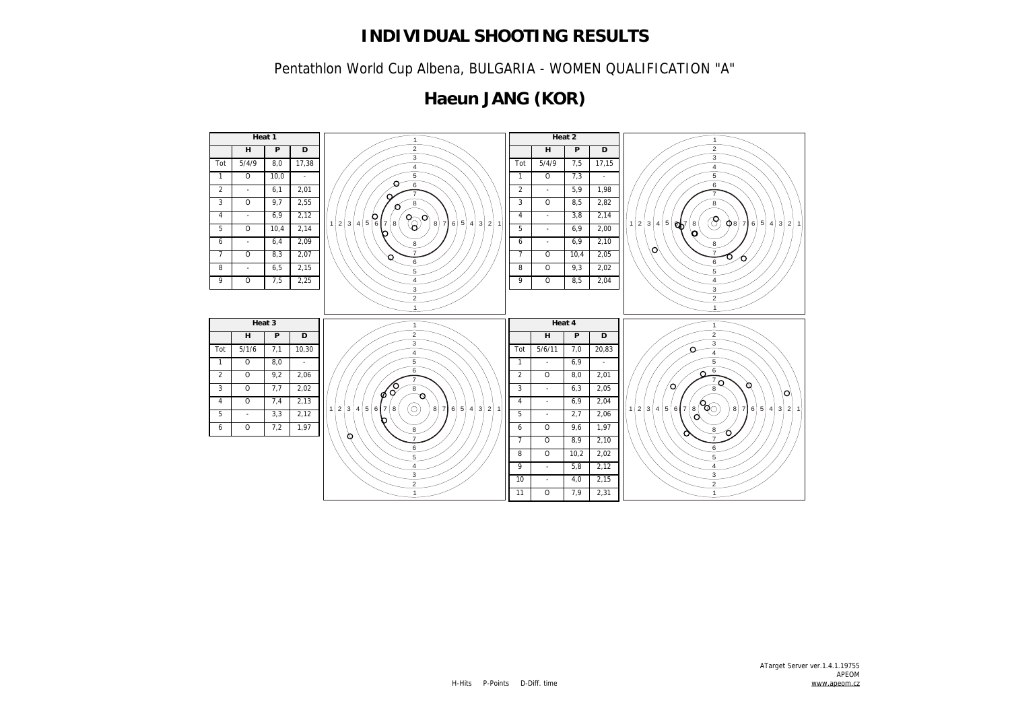Pentathlon World Cup Albena, BULGARIA - WOMEN QUALIFICATION "A"

## **Haeun JANG (KOR)**

![](_page_15_Figure_3.jpeg)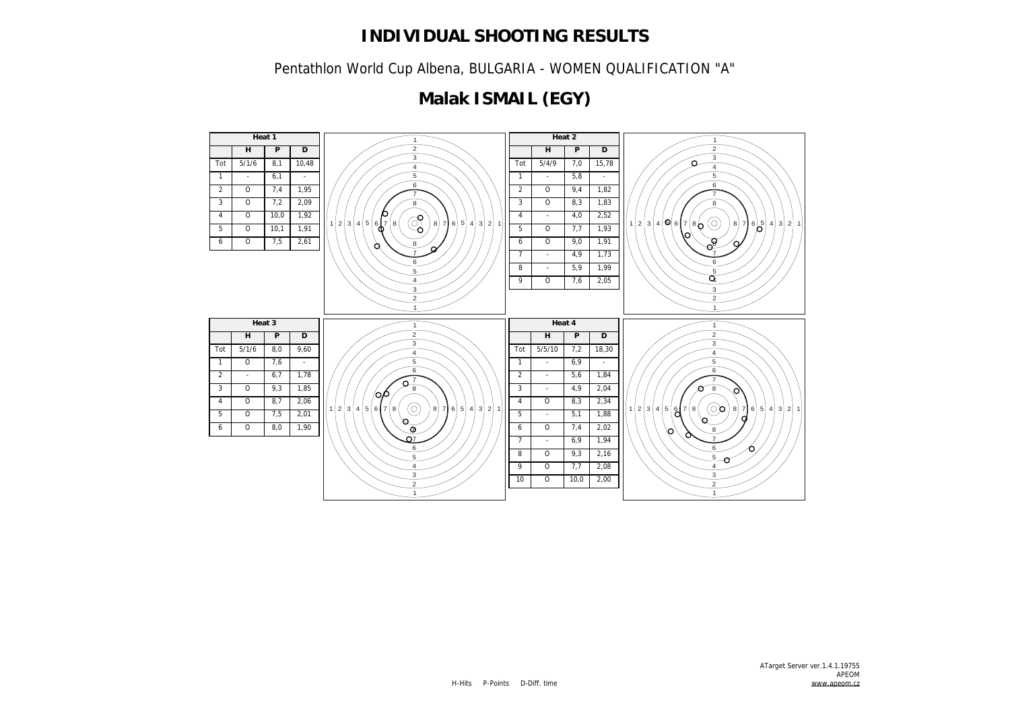Pentathlon World Cup Albena, BULGARIA - WOMEN QUALIFICATION "A"

## **Malak ISMAIL (EGY)**

![](_page_16_Figure_3.jpeg)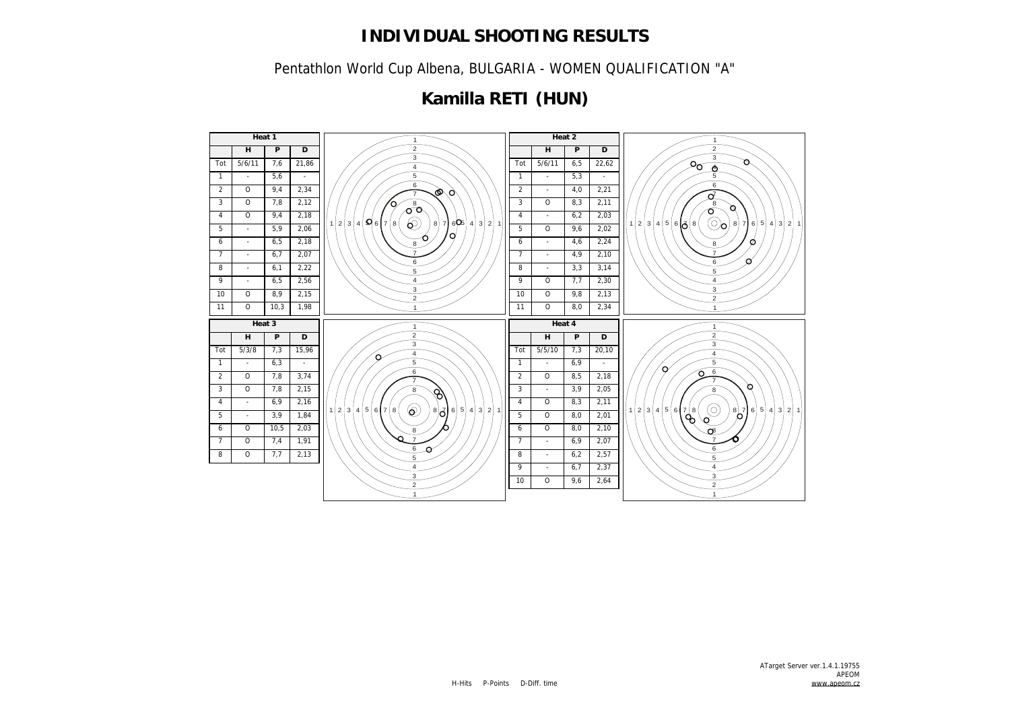Pentathlon World Cup Albena, BULGARIA - WOMEN QUALIFICATION "A"

## **Kamilla RETI (HUN)**

![](_page_17_Figure_3.jpeg)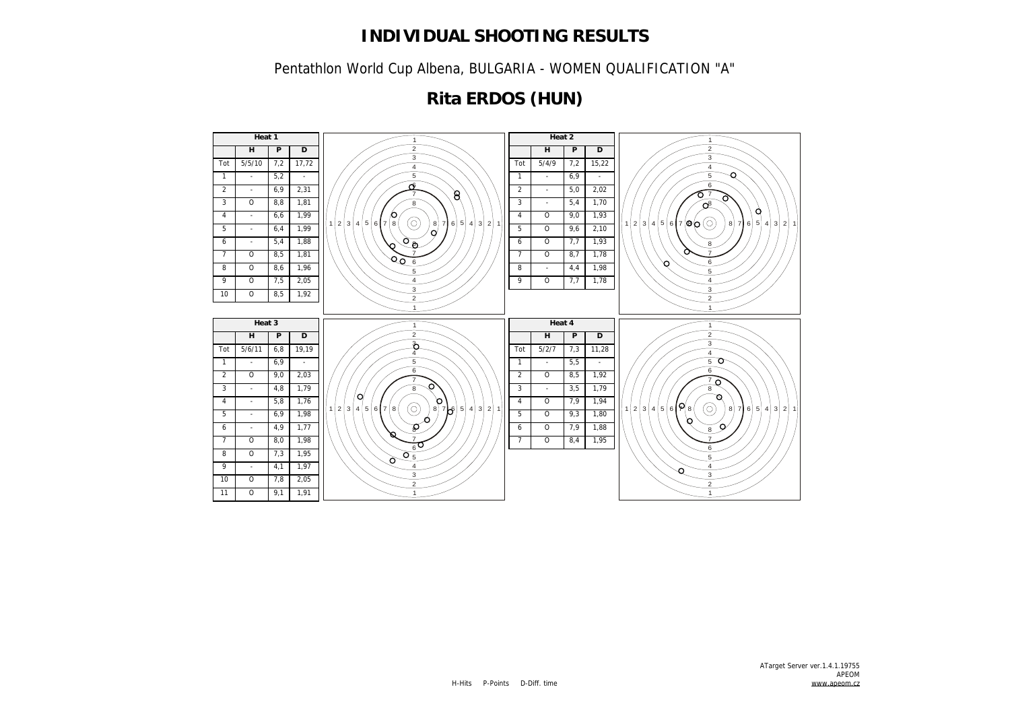Pentathlon World Cup Albena, BULGARIA - WOMEN QUALIFICATION "A"

## **Rita ERDOS (HUN)**

![](_page_18_Figure_3.jpeg)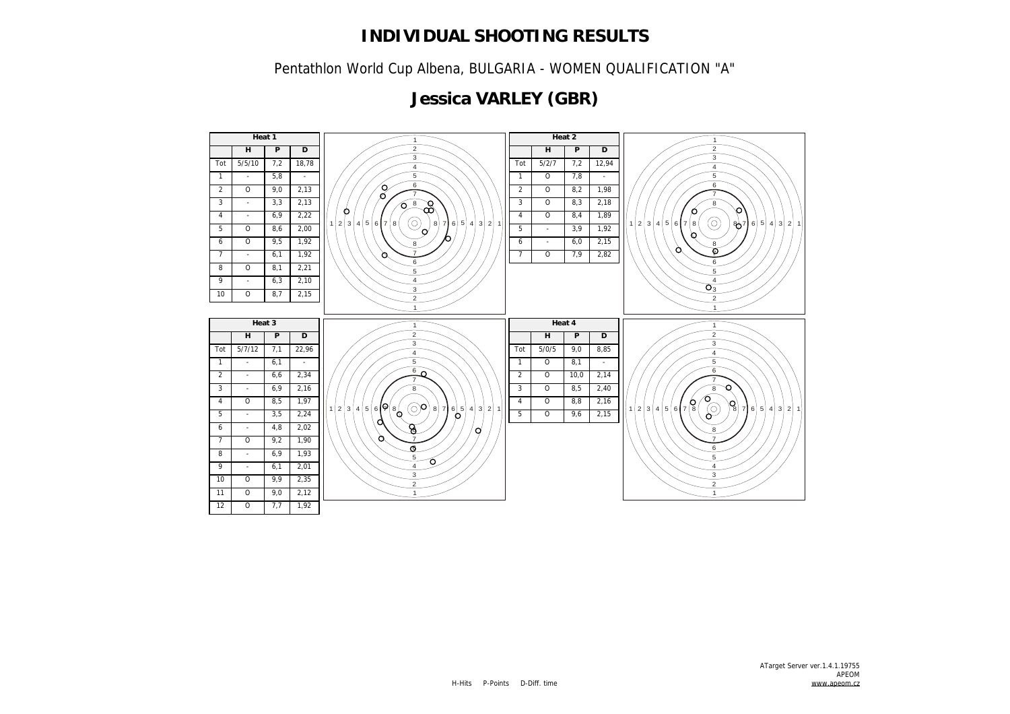Pentathlon World Cup Albena, BULGARIA - WOMEN QUALIFICATION "A"

## **Jessica VARLEY (GBR)**

![](_page_19_Figure_3.jpeg)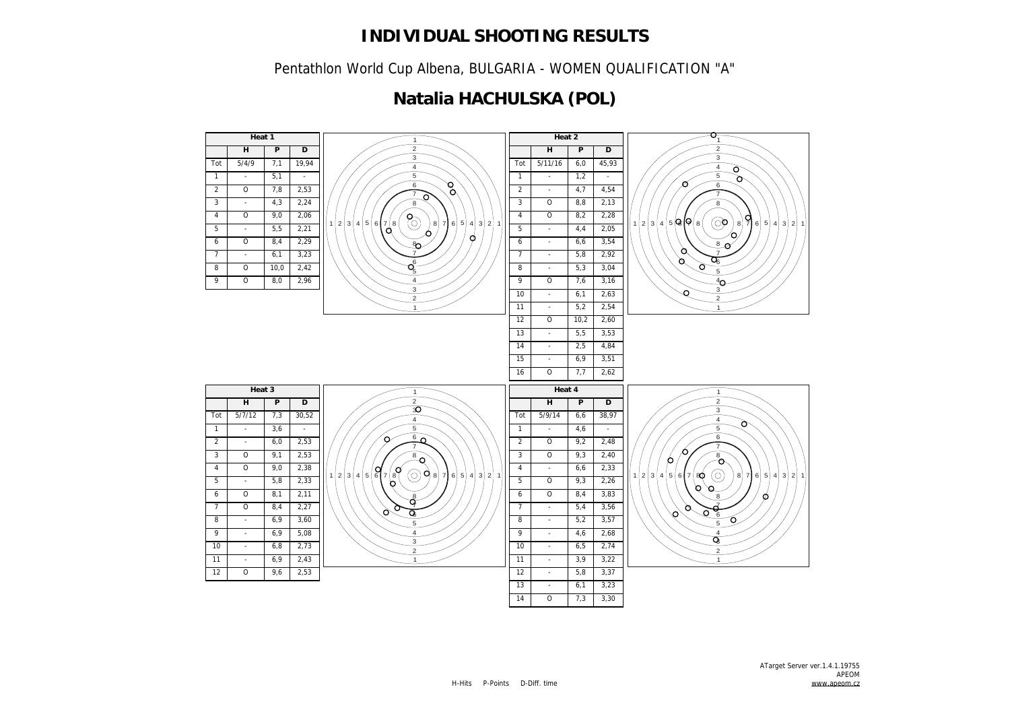Pentathlon World Cup Albena, BULGARIA - WOMEN QUALIFICATION "A"

## **Natalia HACHULSKA (POL)**

![](_page_20_Figure_3.jpeg)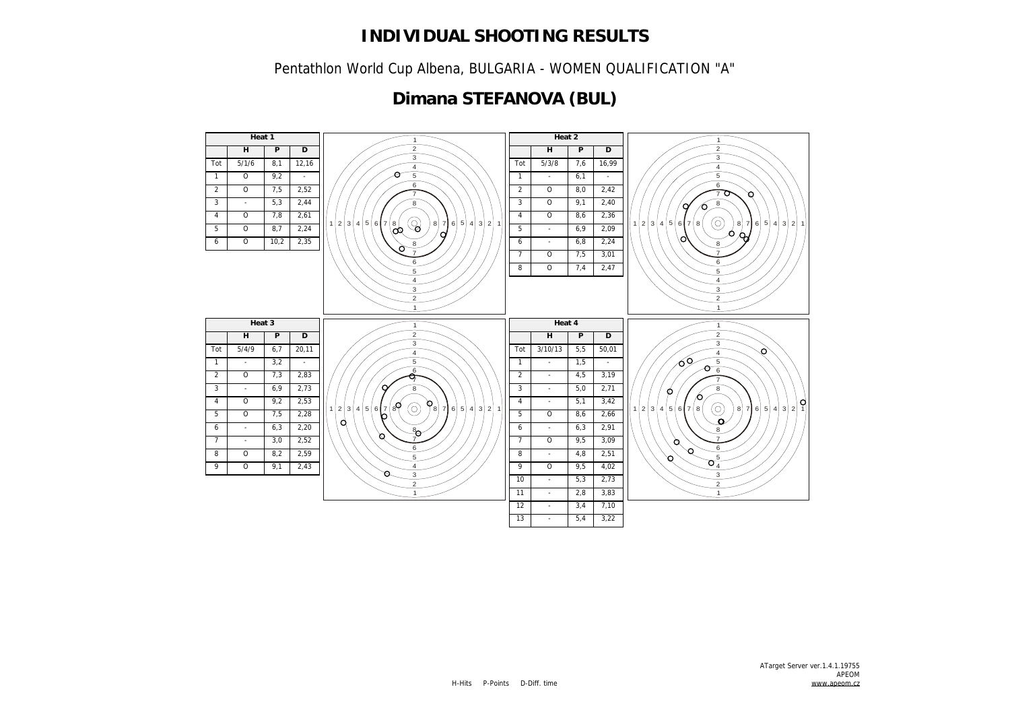Pentathlon World Cup Albena, BULGARIA - WOMEN QUALIFICATION "A"

## **Dimana STEFANOVA (BUL)**

![](_page_21_Figure_3.jpeg)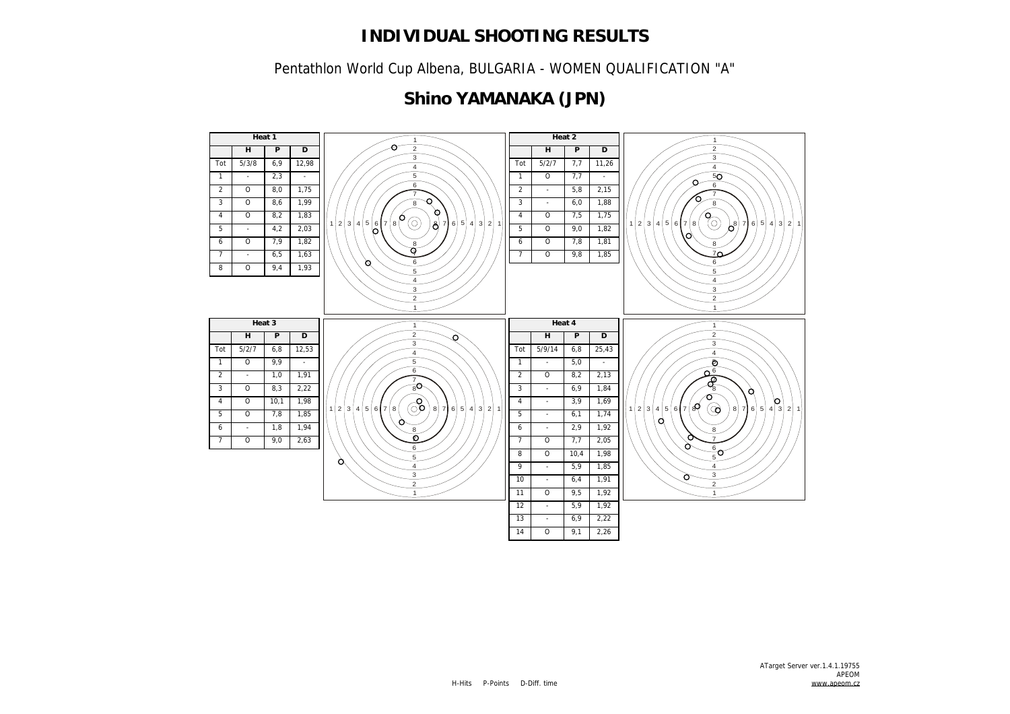Pentathlon World Cup Albena, BULGARIA - WOMEN QUALIFICATION "A"

### **Shino YAMANAKA (JPN)**

![](_page_22_Figure_3.jpeg)